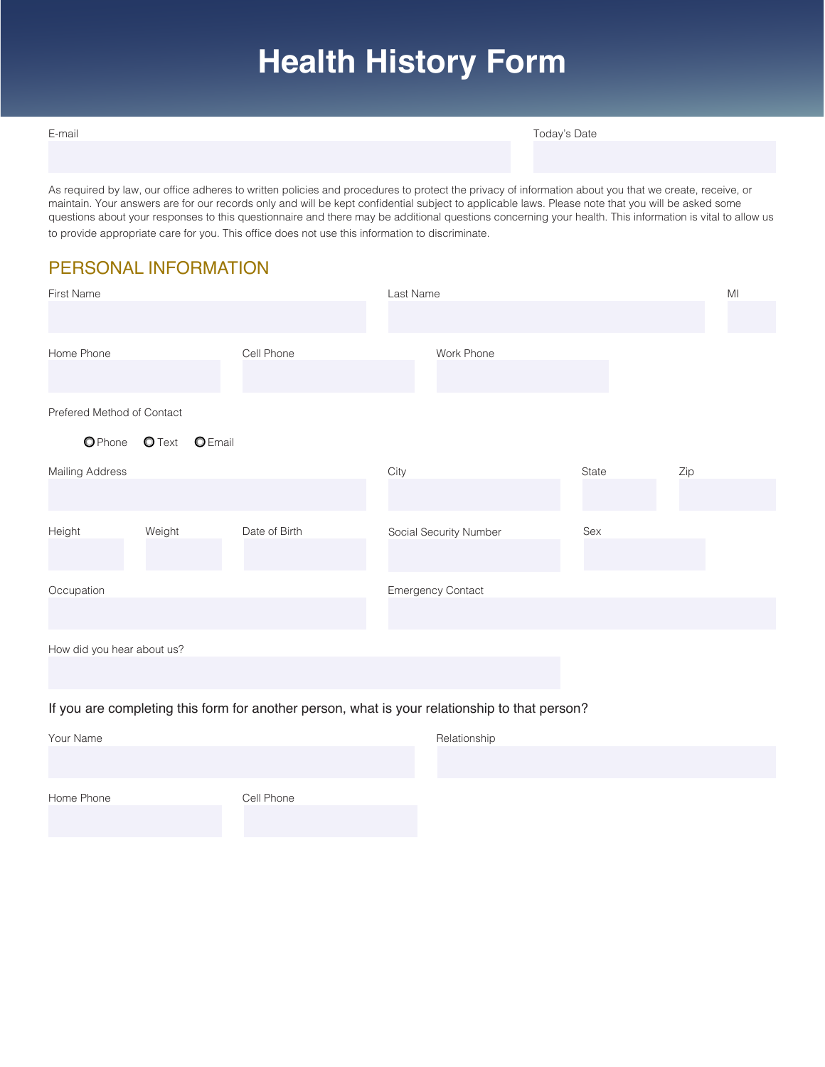# **Health History Form**

E-mail Today's Date

As required by law, our office adheres to written policies and procedures to protect the privacy of information about you that we create, receive, or maintain. Your answers are for our records only and will be kept confidential subject to applicable laws. Please note that you will be asked some questions about your responses to this questionnaire and there may be additional questions concerning your health. This information is vital to allow us to provide appropriate care for you. This office does not use this information to discriminate.

### PERSONAL INFORMATION

| First Name                 |                | Last Name                |               |      |                        | M <sub>l</sub> |     |  |
|----------------------------|----------------|--------------------------|---------------|------|------------------------|----------------|-----|--|
|                            |                |                          |               |      |                        |                |     |  |
|                            |                |                          |               |      |                        |                |     |  |
| Cell Phone<br>Home Phone   |                |                          |               |      |                        |                |     |  |
|                            |                |                          |               |      |                        |                |     |  |
| Prefered Method of Contact |                |                          |               |      |                        |                |     |  |
| O Phone                    | $\bullet$ Text | <b>O</b> Email           |               |      |                        |                |     |  |
| Mailing Address            |                |                          |               | City |                        | State          | Zip |  |
|                            |                |                          |               |      |                        |                |     |  |
| Height                     | Weight         |                          | Date of Birth |      | Social Security Number | Sex            |     |  |
|                            |                |                          |               |      |                        |                |     |  |
| Occupation                 |                | <b>Emergency Contact</b> |               |      |                        |                |     |  |
|                            |                |                          |               |      |                        |                |     |  |
| How did you hear about us? |                |                          |               |      |                        |                |     |  |
|                            |                |                          |               |      |                        |                |     |  |

#### If you are completing this form for another person, what is your relationship to that person?

| Your Name  |            | Relationship |  |  |  |
|------------|------------|--------------|--|--|--|
|            |            |              |  |  |  |
|            |            |              |  |  |  |
| Home Phone | Cell Phone |              |  |  |  |
|            |            |              |  |  |  |
|            |            |              |  |  |  |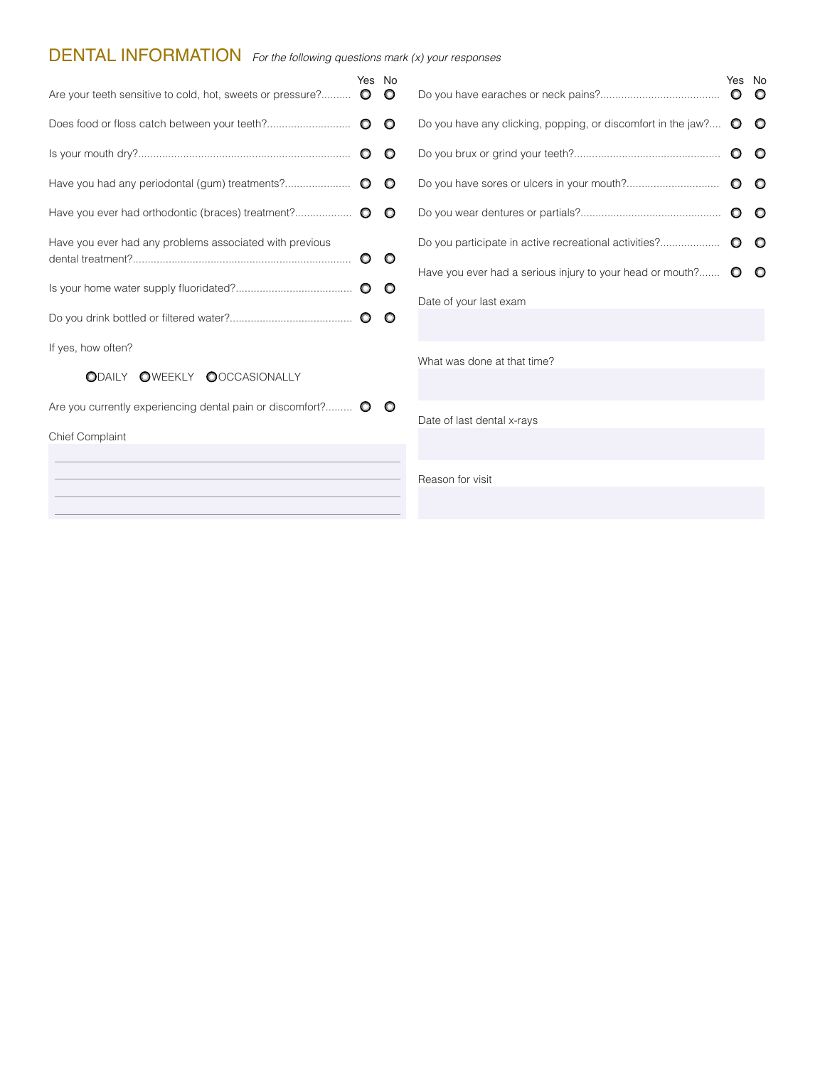## DENTAL INFORMATION *For the following questions mark (x) your responses*

| Are your teeth sensitive to cold, hot, sweets or pressure? O        | Yes No  | $\circ$ |                                                              | Yes No          | $\circ$ |
|---------------------------------------------------------------------|---------|---------|--------------------------------------------------------------|-----------------|---------|
|                                                                     |         | $\circ$ | Do you have any clicking, popping, or discomfort in the jaw? | $\circ$         | $\circ$ |
|                                                                     |         | $\circ$ |                                                              | $\circ$ $\circ$ |         |
|                                                                     | $\circ$ | $\circ$ |                                                              | $\circ$         | $\circ$ |
| Have you ever had orthodontic (braces) treatment?                   | $\circ$ | $\circ$ |                                                              | $\circ$         | $\circ$ |
| Have you ever had any problems associated with previous             | $\circ$ | $\circ$ | Do you participate in active recreational activities?        | $\circ$         | $\circ$ |
|                                                                     |         |         | Have you ever had a serious injury to your head or mouth?    |                 |         |
|                                                                     | $\circ$ | $\circ$ | Date of your last exam                                       |                 |         |
| If yes, how often?                                                  |         |         |                                                              |                 |         |
| <b>ODAILY OWEEKLY OOCCASIONALLY</b>                                 |         |         | What was done at that time?                                  |                 |         |
| Are you currently experiencing dental pain or discomfort? $\bullet$ |         | $\circ$ | Date of last dental x-rays                                   |                 |         |
| <b>Chief Complaint</b>                                              |         |         |                                                              |                 |         |
|                                                                     |         |         | Reason for visit                                             |                 |         |
|                                                                     |         |         |                                                              |                 |         |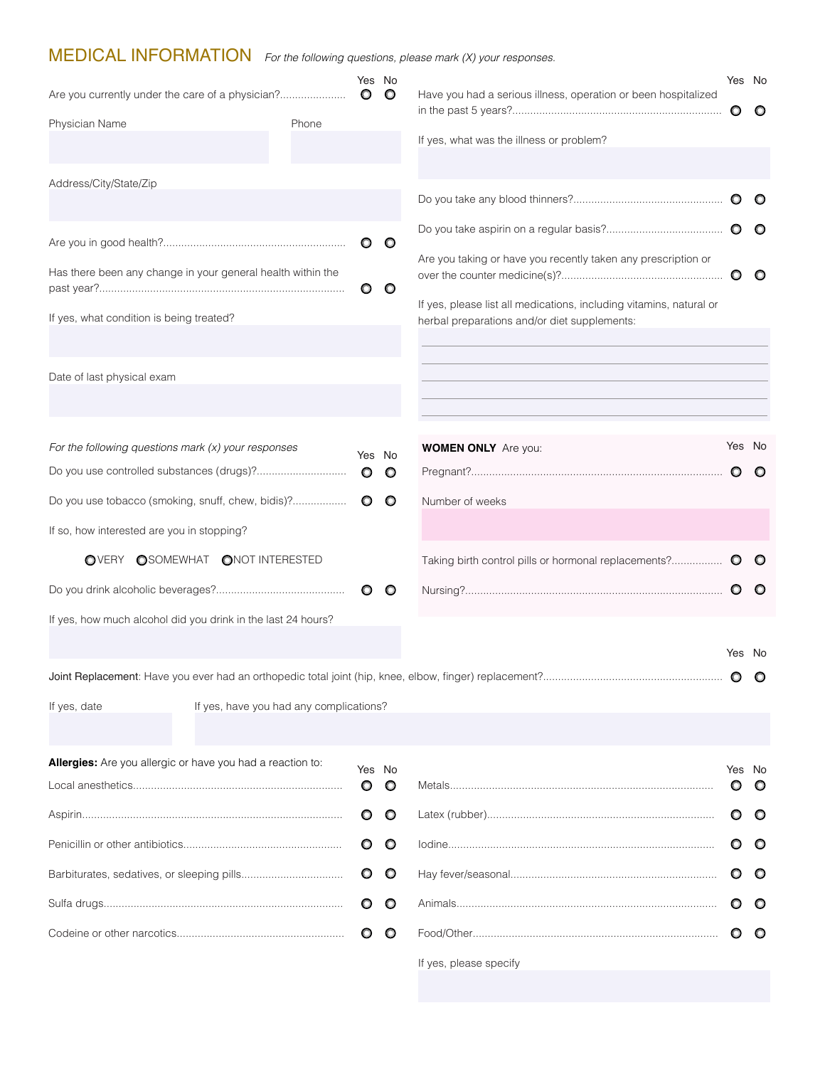## MEDICAL INFORMATION *For the following questions, please mark (X) your responses.*

| Are you currently under the care of a physician?             |       | Yes No<br>$\circ$ | $\circ$ | Have you had a serious illness, operation or been hospitalized                                                      | Yes No<br>O | $\circ$ |  |
|--------------------------------------------------------------|-------|-------------------|---------|---------------------------------------------------------------------------------------------------------------------|-------------|---------|--|
| Physician Name                                               | Phone |                   |         | If yes, what was the illness or problem?                                                                            |             |         |  |
|                                                              |       |                   |         |                                                                                                                     |             |         |  |
| Address/City/State/Zip                                       |       |                   |         |                                                                                                                     |             |         |  |
|                                                              |       |                   |         |                                                                                                                     |             |         |  |
|                                                              |       | $\circ$           | $\circ$ |                                                                                                                     |             |         |  |
| Has there been any change in your general health within the  |       | O.                | $\circ$ | Are you taking or have you recently taken any prescription or                                                       |             | $\circ$ |  |
| If yes, what condition is being treated?                     |       |                   |         | If yes, please list all medications, including vitamins, natural or<br>herbal preparations and/or diet supplements: |             |         |  |
|                                                              |       |                   |         |                                                                                                                     |             |         |  |
| Date of last physical exam                                   |       |                   |         |                                                                                                                     |             |         |  |
|                                                              |       |                   |         |                                                                                                                     |             |         |  |
|                                                              |       |                   |         |                                                                                                                     |             |         |  |
| For the following questions mark $(x)$ your responses        |       | Yes No            |         | <b>WOMEN ONLY</b> Are you:                                                                                          | Yes No      |         |  |
| Do you use controlled substances (drugs)?                    |       | $\circ$           | $\circ$ |                                                                                                                     |             |         |  |
| Do you use tobacco (smoking, snuff, chew, bidis)?            |       | O                 | $\circ$ | Number of weeks                                                                                                     |             |         |  |
| If so, how interested are you in stopping?                   |       |                   |         |                                                                                                                     |             |         |  |
| OSOMEWHAT ONOT INTERESTED<br>OVERY                           |       |                   |         | Taking birth control pills or hormonal replacements?                                                                | O           |         |  |
|                                                              |       | $\circ$           | $\circ$ |                                                                                                                     | $\circ$     | $\circ$ |  |
| If yes, how much alcohol did you drink in the last 24 hours? |       |                   |         |                                                                                                                     |             |         |  |
|                                                              |       |                   |         |                                                                                                                     | Yes No      |         |  |
|                                                              |       |                   |         |                                                                                                                     |             | -0      |  |
| If yes, date<br>If yes, have you had any complications?      |       |                   |         |                                                                                                                     |             |         |  |
|                                                              |       |                   |         |                                                                                                                     |             |         |  |
| Allergies: Are you allergic or have you had a reaction to:   |       |                   |         |                                                                                                                     |             |         |  |
|                                                              |       | Yes No<br>O       | $\circ$ |                                                                                                                     | Yes No<br>O | O       |  |
|                                                              |       | O                 | $\circ$ |                                                                                                                     | O           | O       |  |
|                                                              |       | O                 | O       |                                                                                                                     |             | O       |  |
|                                                              |       | $\circ$           | $\circ$ |                                                                                                                     | O           | O       |  |
|                                                              |       | $\circ$           | $\circ$ |                                                                                                                     |             | $\circ$ |  |
|                                                              |       |                   | O       |                                                                                                                     |             | O       |  |
|                                                              |       |                   |         | If yes, please specify                                                                                              |             |         |  |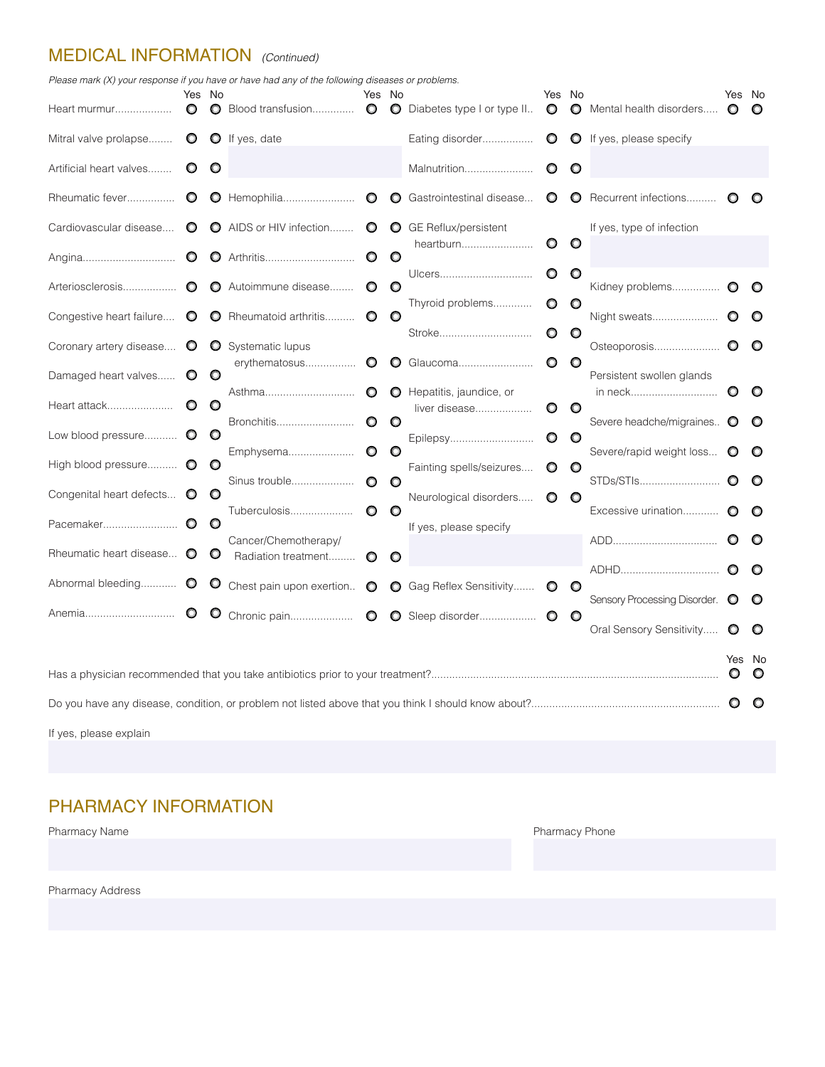### MEDICAL INFORMATION *(Continued)*

*Please mark (X) your response if you have or have had any of the following diseases or problems.* Yes No Yes No Yes No Yes No Heart murmur...................  $\circ$ **O** Blood transfusion..............  $\circ$  $\bullet$  Diabetes type I or type II..  $\circ$ O Mental health disorders....  $\circ$  $\circ$ Mitral valve prolapse........ $\bullet$  $\bullet$  If yes, date Eating disorder................. O  $\circ$ If yes, please specify  $\circ$  $\circ$  $\circ$ Artificial heart valves........ Malnutrition........................ O O Hemophilia......................... Gastrointestinal disease...  $\circ$ Rheumatic fever................  $\circ$  $\circ$  $\circ$ O Recurrent infections..........  $\circ$  $\circ$ Cardiovascular disease....  $\circ$ **Q** AIDS or HIV infection........  $\circ$  $\circ$ GE Reflux/persistent If yes, type of infection heartburn........................  $\circ$ O  $\circ$ Arthritis..............................  $\circ$  $\circ$ Angina................................  $\circ$ Ulcers............................... O  $O$  Autoimmune disease........ Arteriosclerosis.................  $\circ$  $\circ$  $\circ$ Kidney problems................ O Thyroid problems.............  $\circ$  $\circ$ Congestive heart failure.... **O O** Rheumatoid arthritis.......... **O**  $\circ$ Night sweats......................  $\circ$  $\circ$ Stroke................................. O  $\circ$ Coronary artery disease....  $\bullet$ **O** Systematic lupus Osteoporosis......................  $\circ$ Glaucoma.......................... erythematosus.................  $\circ$  $\circ$  $\circ$  $\circ$  $\circ$ Damaged heart valves......  $\circ$ Persistent swollen glands Asthma.................................  $\circ$ Hepatitis, jaundice, or in neck.............................  $\circ$  $\circ$  $\circ$ Heart attack.......................  $\circ$  $\circ$  liver disease...................  $\circ$  $\circ$ Bronchitis..........................  $\circ$  $\circ$ Severe headche/migraines..  $\bullet$  $\circ$ Low blood pressure........... O  $\circ$  $\circ$ Epilepsy............................  $\circ$ Severe/rapid weight loss...  $\bullet$ Emphysema......................  $\circ$ High blood pressure........... O  $\circ$ Fainting spells/seizures....  $\circ$  $\circ$ STDs/STIs........................... Sinus trouble.....................  $\circ$  $\circ$ Congenital heart defects...  $\bullet$  $\circ$ Neurological disorders.....  $\circ$  $\circ$ Tuberculosis.....................  $\circ$ Excessive urination.............. O  $\circ$  $\circ$ Pacemaker.........................  $\circ$ If yes, please specify Cancer/Chemotherapy/ ADD...................................  $\circ$  $\circ$ Rheumatic heart disease...  $\bullet$  $\circ$ Radiation treatment......... O  $\circ$ ADHD.................................  $\circ$ Abnormal bleeding............  $\circ$ Chest pain upon exertion..  $\bullet$  $\circ$ Gag Reflex Sensitivity....... **O**  $\circ$ Sensory Processing Disorder.  $\bullet$  $\circ$  $\circ$ Anemia.............................. O Chronic pain......................  $\circ$  $\circ$ Sleep disorder...................  $\circ$ Oral Sensory Sensitivity..... **O**  $\circ$ 

Yes No Has a physician recommended that you take antibiotics prior to your treatment?................................................................................................  $\circ$  $\circ$ Do you have any disease, condition, or problem not listed above that you think I should know about?............................................................... O  $\circ$ 

If yes, please explain

### PHARMACY INFORMATION

Pharmacy Name **Pharmacy Phone** Pharmacy Phone Pharmacy Phone Pharmacy Phone Pharmacy Phone

Pharmacy Address